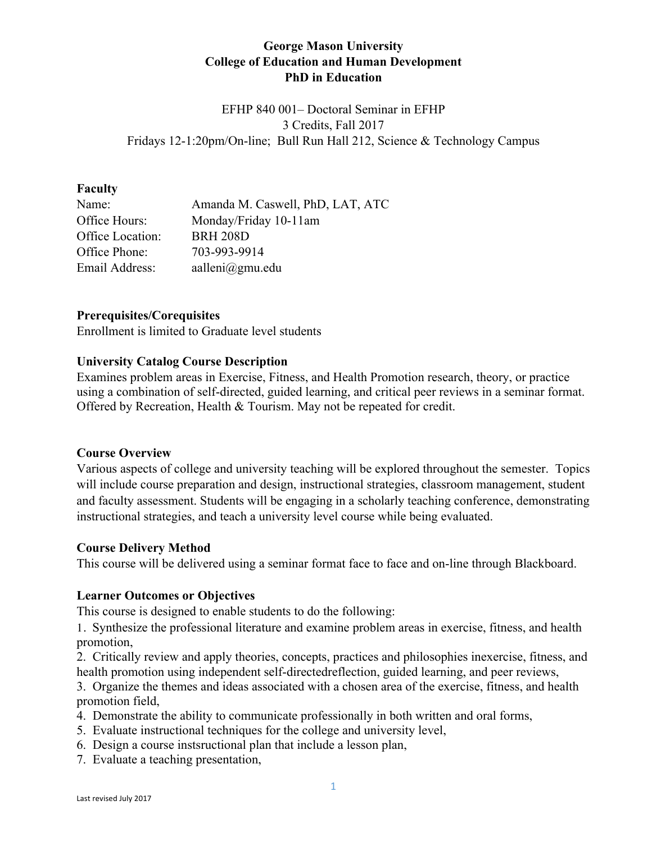# **George Mason University College of Education and Human Development PhD in Education**

EFHP 840 001– Doctoral Seminar in EFHP 3 Credits, Fall 2017 Fridays 12-1:20pm/On-line; Bull Run Hall 212, Science & Technology Campus

### **Faculty**

| Name:            | Amanda M. Caswell, PhD, LAT, ATC |
|------------------|----------------------------------|
| Office Hours:    | Monday/Friday 10-11am            |
| Office Location: | <b>BRH 208D</b>                  |
| Office Phone:    | 703-993-9914                     |
| Email Address:   | aalleni $@gmu$ .edu              |

## **Prerequisites/Corequisites**

Enrollment is limited to Graduate level students

## **University Catalog Course Description**

Examines problem areas in Exercise, Fitness, and Health Promotion research, theory, or practice using a combination of self-directed, guided learning, and critical peer reviews in a seminar format. Offered by Recreation, Health & Tourism. May not be repeated for credit.

## **Course Overview**

Various aspects of college and university teaching will be explored throughout the semester. Topics will include course preparation and design, instructional strategies, classroom management, student and faculty assessment. Students will be engaging in a scholarly teaching conference, demonstrating instructional strategies, and teach a university level course while being evaluated.

## **Course Delivery Method**

This course will be delivered using a seminar format face to face and on-line through Blackboard.

## **Learner Outcomes or Objectives**

This course is designed to enable students to do the following:

1. Synthesize the professional literature and examine problem areas in exercise, fitness, and health promotion,

2. Critically review and apply theories, concepts, practices and philosophies inexercise, fitness, and health promotion using independent self-directedreflection, guided learning, and peer reviews,

3. Organize the themes and ideas associated with a chosen area of the exercise, fitness, and health promotion field,

- 4. Demonstrate the ability to communicate professionally in both written and oral forms,
- 5. Evaluate instructional techniques for the college and university level,
- 6. Design a course instsructional plan that include a lesson plan,
- 7. Evaluate a teaching presentation,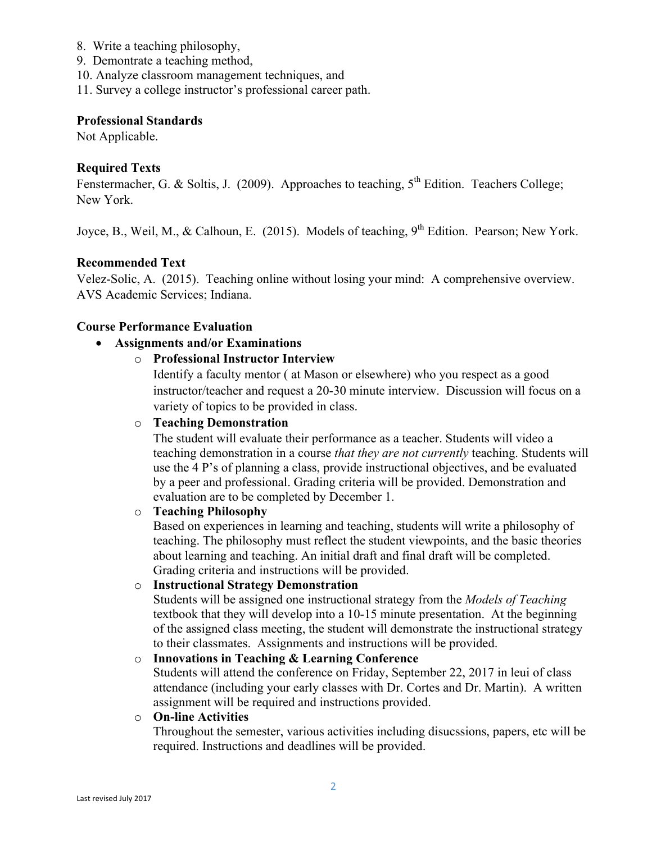- 8. Write a teaching philosophy,
- 9. Demontrate a teaching method,
- 10. Analyze classroom management techniques, and
- 11. Survey a college instructor's professional career path.

### **Professional Standards**

Not Applicable.

# **Required Texts**

Fenstermacher, G. & Soltis, J. (2009). Approaches to teaching,  $5<sup>th</sup>$  Edition. Teachers College; New York.

Joyce, B., Weil, M., & Calhoun, E. (2015). Models of teaching, 9<sup>th</sup> Edition. Pearson; New York.

# **Recommended Text**

Velez-Solic, A. (2015). Teaching online without losing your mind: A comprehensive overview. AVS Academic Services; Indiana.

## **Course Performance Evaluation**

## • **Assignments and/or Examinations**

# o **Professional Instructor Interview**

Identify a faculty mentor ( at Mason or elsewhere) who you respect as a good instructor/teacher and request a 20-30 minute interview. Discussion will focus on a variety of topics to be provided in class.

# o **Teaching Demonstration**

The student will evaluate their performance as a teacher. Students will video a teaching demonstration in a course *that they are not currently* teaching. Students will use the 4 P's of planning a class, provide instructional objectives, and be evaluated by a peer and professional. Grading criteria will be provided. Demonstration and evaluation are to be completed by December 1.

## o **Teaching Philosophy**

Based on experiences in learning and teaching, students will write a philosophy of teaching. The philosophy must reflect the student viewpoints, and the basic theories about learning and teaching. An initial draft and final draft will be completed. Grading criteria and instructions will be provided.

## o **Instructional Strategy Demonstration**

Students will be assigned one instructional strategy from the *Models of Teaching*  textbook that they will develop into a 10-15 minute presentation. At the beginning of the assigned class meeting, the student will demonstrate the instructional strategy to their classmates. Assignments and instructions will be provided.

## o **Innovations in Teaching & Learning Conference**

Students will attend the conference on Friday, September 22, 2017 in leui of class attendance (including your early classes with Dr. Cortes and Dr. Martin). A written assignment will be required and instructions provided.

#### o **On-line Activities**

Throughout the semester, various activities including disucssions, papers, etc will be required. Instructions and deadlines will be provided.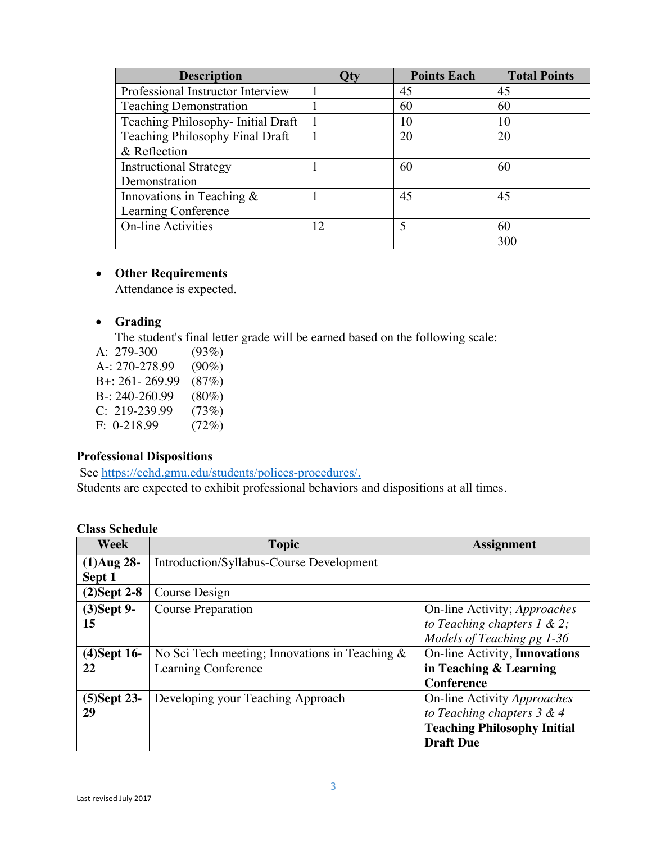| <b>Description</b>                 | Qty | <b>Points Each</b> | <b>Total Points</b> |
|------------------------------------|-----|--------------------|---------------------|
| Professional Instructor Interview  |     | 45                 | 45                  |
| <b>Teaching Demonstration</b>      |     | 60                 | 60                  |
| Teaching Philosophy- Initial Draft |     | 10                 | 10                  |
| Teaching Philosophy Final Draft    |     | 20                 | 20                  |
| & Reflection                       |     |                    |                     |
| <b>Instructional Strategy</b>      |     | 60                 | 60                  |
| Demonstration                      |     |                    |                     |
| Innovations in Teaching $\&$       |     | 45                 | 45                  |
| Learning Conference                |     |                    |                     |
| <b>On-line Activities</b>          | 12  |                    | 60                  |
|                                    |     |                    | 300                 |

# • **Other Requirements**

Attendance is expected.

# • **Grading**

The student's final letter grade will be earned based on the following scale:

- A: 279-300 (93%) A-: 270-278.99 (90%) B+: 261- 269.99 (87%) B-: 240-260.99 (80%) C: 219-239.99 (73%)
- F: 0-218.99 (72%)

# **Professional Dispositions**

See https://cehd.gmu.edu/students/polices-procedures/.

Students are expected to exhibit professional behaviors and dispositions at all times.

| Week           | <b>Topic</b>                                      | <b>Assignment</b>                  |
|----------------|---------------------------------------------------|------------------------------------|
| $(1)$ Aug 28-  | <b>Introduction/Syllabus-Course Development</b>   |                                    |
| Sept 1         |                                                   |                                    |
| $(2)$ Sept 2-8 | Course Design                                     |                                    |
| $(3)$ Sept 9-  | <b>Course Preparation</b>                         | On-line Activity; Approaches       |
| 15             |                                                   | to Teaching chapters $1 \& 2$ ;    |
|                |                                                   | Models of Teaching pg 1-36         |
| $(4)$ Sept 16- | No Sci Tech meeting; Innovations in Teaching $\&$ | On-line Activity, Innovations      |
| 22             | Learning Conference                               | in Teaching & Learning             |
|                |                                                   | <b>Conference</b>                  |
| $(5)$ Sept 23- | Developing your Teaching Approach                 | On-line Activity Approaches        |
| 29             |                                                   | to Teaching chapters $3 & 4$       |
|                |                                                   | <b>Teaching Philosophy Initial</b> |
|                |                                                   | <b>Draft Due</b>                   |

# **Class Schedule**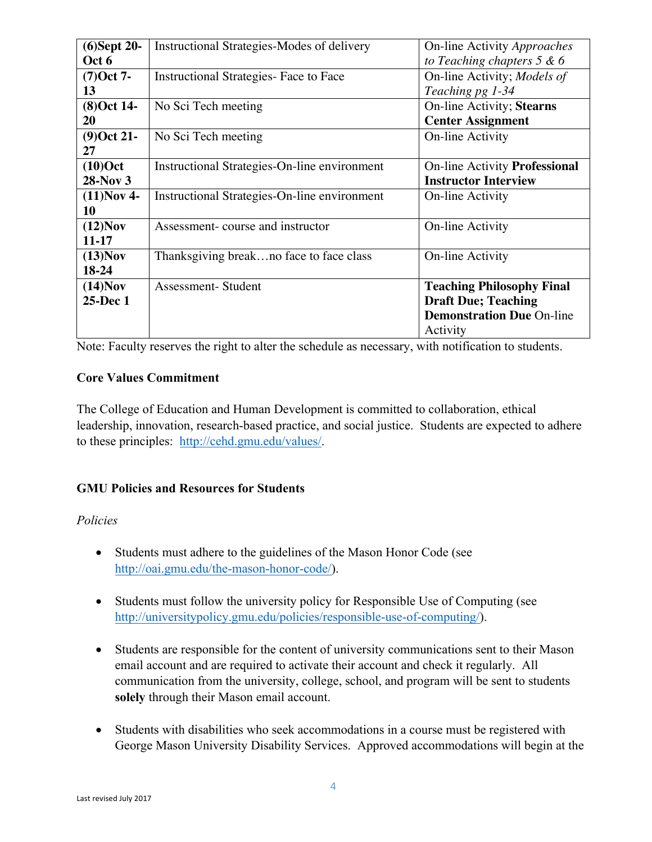| $(6)$ Sept 20- | Instructional Strategies-Modes of delivery   | On-line Activity Approaches      |
|----------------|----------------------------------------------|----------------------------------|
| Oct 6          |                                              | to Teaching chapters $5 & 6$     |
| $(7)$ Oct 7-   | Instructional Strategies- Face to Face       | On-line Activity; Models of      |
| 13             |                                              | Teaching pg 1-34                 |
| $(8)$ Oct 14-  | No Sci Tech meeting                          | On-line Activity; Stearns        |
| 20             |                                              | <b>Center Assignment</b>         |
| $(9)$ Oct 21-  | No Sci Tech meeting                          | On-line Activity                 |
| 27             |                                              |                                  |
| $(10)$ Oct     | Instructional Strategies-On-line environment | On-line Activity Professional    |
| 28-Nov 3       |                                              | <b>Instructor Interview</b>      |
| $(11)$ Nov 4-  | Instructional Strategies-On-line environment | <b>On-line Activity</b>          |
| 10             |                                              |                                  |
| $(12)$ Nov     | Assessment-course and instructor             | On-line Activity                 |
| $11 - 17$      |                                              |                                  |
| $(13)$ Nov     | Thanksgiving breakno face to face class      | <b>On-line Activity</b>          |
| 18-24          |                                              |                                  |
| $(14)$ Nov     | Assessment-Student                           | <b>Teaching Philosophy Final</b> |
| 25-Dec 1       |                                              | <b>Draft Due; Teaching</b>       |
|                |                                              | <b>Demonstration Due On-line</b> |
|                |                                              | Activity                         |

Note: Faculty reserves the right to alter the schedule as necessary, with notification to students.

# **Core Values Commitment**

The College of Education and Human Development is committed to collaboration, ethical leadership, innovation, research-based practice, and social justice. Students are expected to adhere to these principles: http://cehd.gmu.edu/values/.

# **GMU Policies and Resources for Students**

# *Policies*

- Students must adhere to the guidelines of the Mason Honor Code (see http://oai.gmu.edu/the-mason-honor-code/).
- Students must follow the university policy for Responsible Use of Computing (see http://universitypolicy.gmu.edu/policies/responsible-use-of-computing/).
- Students are responsible for the content of university communications sent to their Mason email account and are required to activate their account and check it regularly. All communication from the university, college, school, and program will be sent to students **solely** through their Mason email account.
- Students with disabilities who seek accommodations in a course must be registered with George Mason University Disability Services. Approved accommodations will begin at the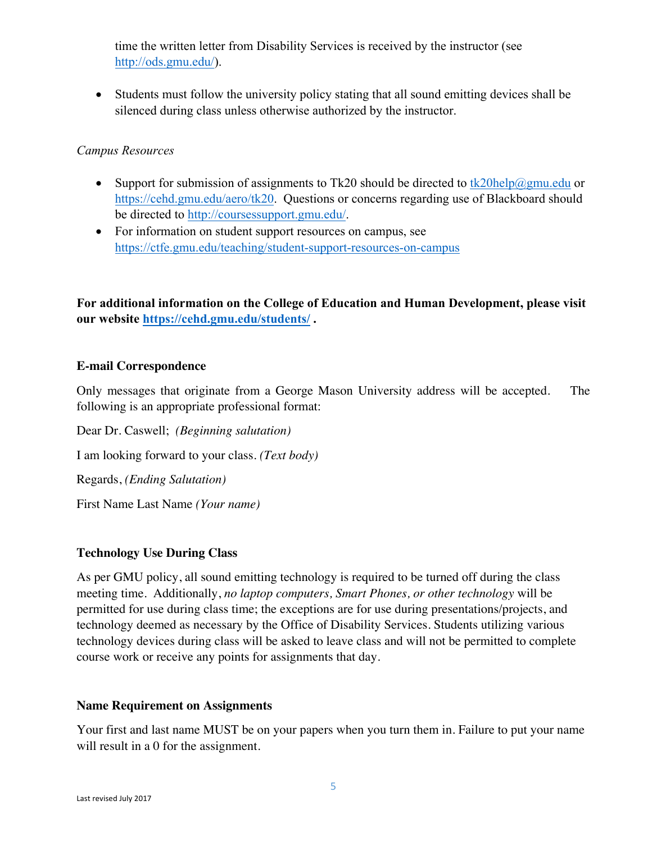time the written letter from Disability Services is received by the instructor (see http://ods.gmu.edu/).

• Students must follow the university policy stating that all sound emitting devices shall be silenced during class unless otherwise authorized by the instructor.

# *Campus Resources*

- Support for submission of assignments to Tk20 should be directed to  $tk20$ help $@gmu$ edu or https://cehd.gmu.edu/aero/tk20. Questions or concerns regarding use of Blackboard should be directed to http://coursessupport.gmu.edu/.
- For information on student support resources on campus, see https://ctfe.gmu.edu/teaching/student-support-resources-on-campus

**For additional information on the College of Education and Human Development, please visit our website https://cehd.gmu.edu/students/ .**

# **E-mail Correspondence**

Only messages that originate from a George Mason University address will be accepted. The following is an appropriate professional format:

Dear Dr. Caswell; *(Beginning salutation)* I am looking forward to your class. *(Text body)* Regards, *(Ending Salutation)* First Name Last Name *(Your name)*

# **Technology Use During Class**

As per GMU policy, all sound emitting technology is required to be turned off during the class meeting time. Additionally, *no laptop computers, Smart Phones, or other technology* will be permitted for use during class time; the exceptions are for use during presentations/projects, and technology deemed as necessary by the Office of Disability Services. Students utilizing various technology devices during class will be asked to leave class and will not be permitted to complete course work or receive any points for assignments that day.

## **Name Requirement on Assignments**

Your first and last name MUST be on your papers when you turn them in. Failure to put your name will result in a 0 for the assignment.